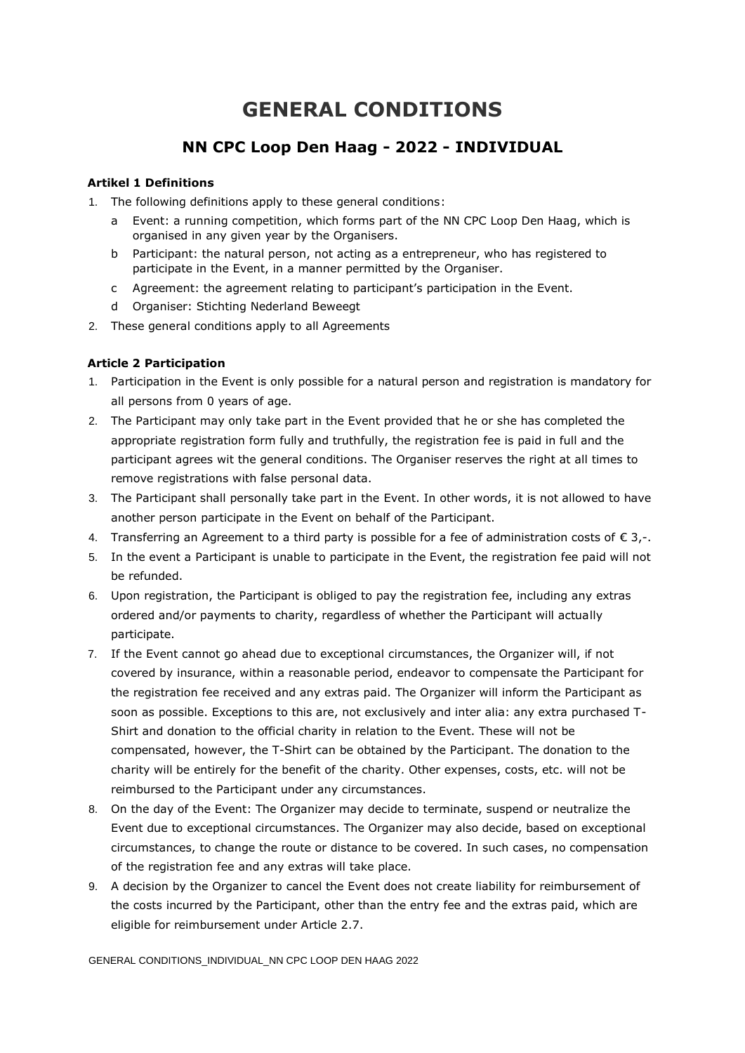# **GENERAL CONDITIONS**

# **NN CPC Loop Den Haag - 2022 - INDIVIDUAL**

## **Artikel 1 Definitions**

- 1. The following definitions apply to these general conditions:
	- a Event: a running competition, which forms part of the NN CPC Loop Den Haag, which is organised in any given year by the Organisers.
	- b Participant: the natural person, not acting as a entrepreneur, who has registered to participate in the Event, in a manner permitted by the Organiser.
	- c Agreement: the agreement relating to participant's participation in the Event.
	- d Organiser: Stichting Nederland Beweegt
- 2. These general conditions apply to all Agreements

### **Article 2 Participation**

- 1. Participation in the Event is only possible for a natural person and registration is mandatory for all persons from 0 years of age.
- 2. The Participant may only take part in the Event provided that he or she has completed the appropriate registration form fully and truthfully, the registration fee is paid in full and the participant agrees wit the general conditions. The Organiser reserves the right at all times to remove registrations with false personal data.
- 3. The Participant shall personally take part in the Event. In other words, it is not allowed to have another person participate in the Event on behalf of the Participant.
- 4. Transferring an Agreement to a third party is possible for a fee of administration costs of  $\epsilon$  3,-.
- 5. In the event a Participant is unable to participate in the Event, the registration fee paid will not be refunded.
- 6. Upon registration, the Participant is obliged to pay the registration fee, including any extras ordered and/or payments to charity, regardless of whether the Participant will actually participate.
- 7. If the Event cannot go ahead due to exceptional circumstances, the Organizer will, if not covered by insurance, within a reasonable period, endeavor to compensate the Participant for the registration fee received and any extras paid. The Organizer will inform the Participant as soon as possible. Exceptions to this are, not exclusively and inter alia: any extra purchased T-Shirt and donation to the official charity in relation to the Event. These will not be compensated, however, the T-Shirt can be obtained by the Participant. The donation to the charity will be entirely for the benefit of the charity. Other expenses, costs, etc. will not be reimbursed to the Participant under any circumstances.
- 8. On the day of the Event: The Organizer may decide to terminate, suspend or neutralize the Event due to exceptional circumstances. The Organizer may also decide, based on exceptional circumstances, to change the route or distance to be covered. In such cases, no compensation of the registration fee and any extras will take place.
- 9. A decision by the Organizer to cancel the Event does not create liability for reimbursement of the costs incurred by the Participant, other than the entry fee and the extras paid, which are eligible for reimbursement under Article 2.7.

GENERAL CONDITIONS\_INDIVIDUAL\_NN CPC LOOP DEN HAAG 2022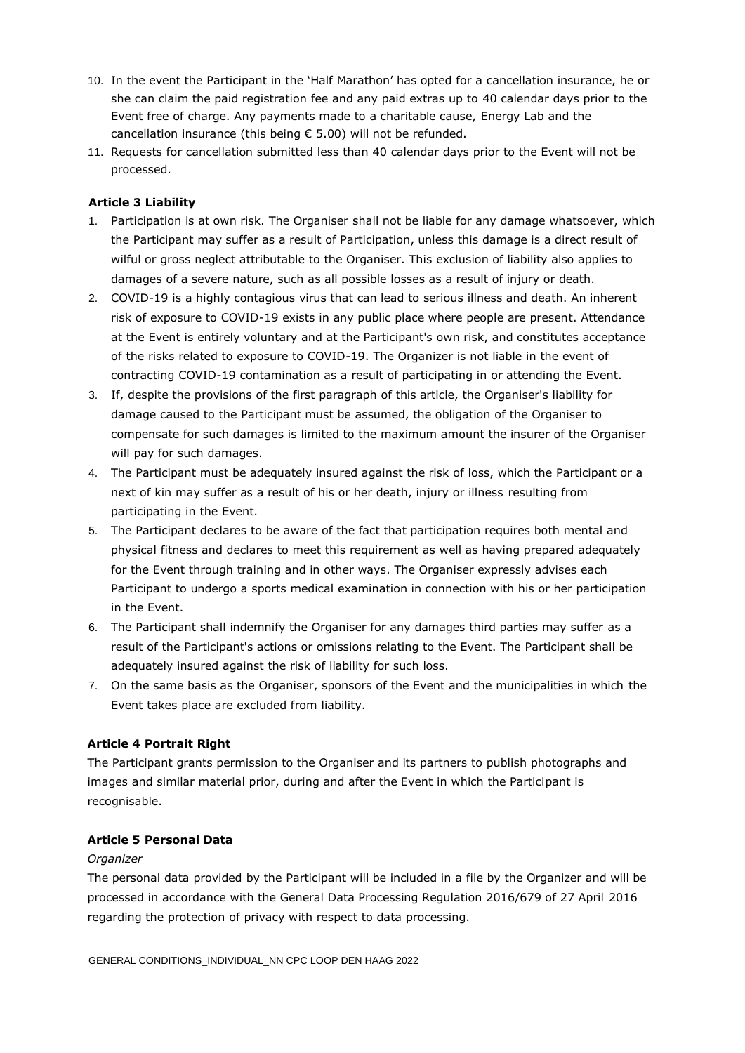- 10. In the event the Participant in the 'Half Marathon' has opted for a cancellation insurance, he or she can claim the paid registration fee and any paid extras up to 40 calendar days prior to the Event free of charge. Any payments made to a charitable cause, Energy Lab and the cancellation insurance (this being € 5.00) will not be refunded.
- 11. Requests for cancellation submitted less than 40 calendar days prior to the Event will not be processed.

#### **Article 3 Liability**

- 1. Participation is at own risk. The Organiser shall not be liable for any damage whatsoever, which the Participant may suffer as a result of Participation, unless this damage is a direct result of wilful or gross neglect attributable to the Organiser. This exclusion of liability also applies to damages of a severe nature, such as all possible losses as a result of injury or death.
- 2. COVID-19 is a highly contagious virus that can lead to serious illness and death. An inherent risk of exposure to COVID-19 exists in any public place where people are present. Attendance at the Event is entirely voluntary and at the Participant's own risk, and constitutes acceptance of the risks related to exposure to COVID-19. The Organizer is not liable in the event of contracting COVID-19 contamination as a result of participating in or attending the Event.
- 3. If, despite the provisions of the first paragraph of this article, the Organiser's liability for damage caused to the Participant must be assumed, the obligation of the Organiser to compensate for such damages is limited to the maximum amount the insurer of the Organiser will pay for such damages.
- 4. The Participant must be adequately insured against the risk of loss, which the Participant or a next of kin may suffer as a result of his or her death, injury or illness resulting from participating in the Event.
- 5. The Participant declares to be aware of the fact that participation requires both mental and physical fitness and declares to meet this requirement as well as having prepared adequately for the Event through training and in other ways. The Organiser expressly advises each Participant to undergo a sports medical examination in connection with his or her participation in the Event.
- 6. The Participant shall indemnify the Organiser for any damages third parties may suffer as a result of the Participant's actions or omissions relating to the Event. The Participant shall be adequately insured against the risk of liability for such loss.
- 7. On the same basis as the Organiser, sponsors of the Event and the municipalities in which the Event takes place are excluded from liability.

#### **Article 4 Portrait Right**

The Participant grants permission to the Organiser and its partners to publish photographs and images and similar material prior, during and after the Event in which the Participant is recognisable.

#### **Article 5 Personal Data**

#### *Organizer*

The personal data provided by the Participant will be included in a file by the Organizer and will be processed in accordance with the General Data Processing Regulation 2016/679 of 27 April 2016 regarding the protection of privacy with respect to data processing.

GENERAL CONDITIONS\_INDIVIDUAL\_NN CPC LOOP DEN HAAG 2022